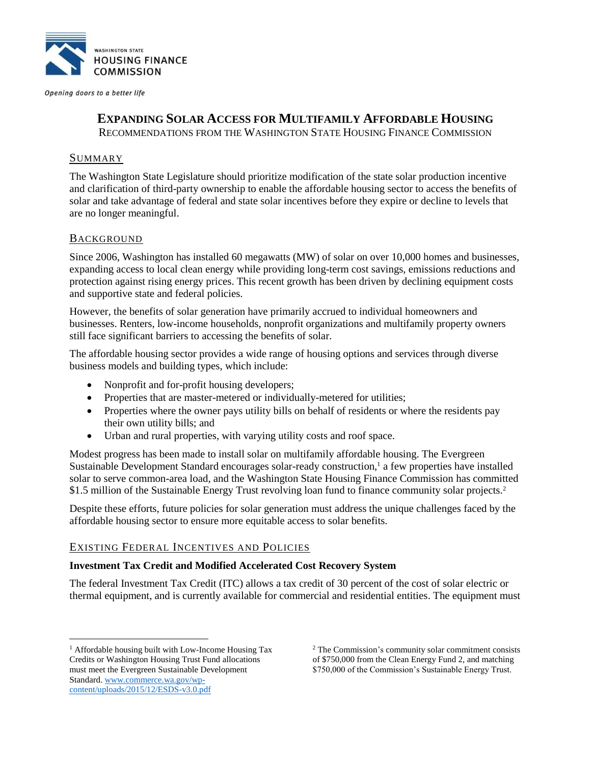

Opening doors to a better life

# **EXPANDING SOLAR ACCESS FOR MULTIFAMILY AFFORDABLE HOUSING**

RECOMMENDATIONS FROM THE WASHINGTON STATE HOUSING FINANCE COMMISSION

### **SUMMARY**

The Washington State Legislature should prioritize modification of the state solar production incentive and clarification of third-party ownership to enable the affordable housing sector to access the benefits of solar and take advantage of federal and state solar incentives before they expire or decline to levels that are no longer meaningful.

### BACKGROUND

Since 2006, Washington has installed 60 megawatts (MW) of solar on over 10,000 homes and businesses, expanding access to local clean energy while providing long-term cost savings, emissions reductions and protection against rising energy prices. This recent growth has been driven by declining equipment costs and supportive state and federal policies.

However, the benefits of solar generation have primarily accrued to individual homeowners and businesses. Renters, low-income households, nonprofit organizations and multifamily property owners still face significant barriers to accessing the benefits of solar.

The affordable housing sector provides a wide range of housing options and services through diverse business models and building types, which include:

- Nonprofit and for-profit housing developers;
- Properties that are master-metered or individually-metered for utilities;
- Properties where the owner pays utility bills on behalf of residents or where the residents pay their own utility bills; and
- Urban and rural properties, with varying utility costs and roof space.

Modest progress has been made to install solar on multifamily affordable housing. The Evergreen Sustainable Development Standard encourages solar-ready construction,<sup>1</sup> a few properties have installed solar to serve common-area load, and the Washington State Housing Finance Commission has committed \$1.5 million of the Sustainable Energy Trust revolving loan fund to finance community solar projects.<sup>2</sup>

Despite these efforts, future policies for solar generation must address the unique challenges faced by the affordable housing sector to ensure more equitable access to solar benefits.

### EXISTING FEDERAL INCENTIVES AND POLICIES

#### **Investment Tax Credit and Modified Accelerated Cost Recovery System**

The federal Investment Tax Credit (ITC) allows a tax credit of 30 percent of the cost of solar electric or thermal equipment, and is currently available for commercial and residential entities. The equipment must

 $\overline{a}$ 

<sup>&</sup>lt;sup>1</sup> Affordable housing built with Low-Income Housing Tax Credits or Washington Housing Trust Fund allocations must meet the Evergreen Sustainable Development Standard. [www.commerce.wa.gov/wp](file:///C:/Users/Juliana/AppData/Local/Microsoft/Windows/Temporary%20Internet%20Files/Content.Outlook/1KX24T0B/www.commerce.wa.gov/wp-content/uploads/2015/12/ESDS-v3.0.pdf)[content/uploads/2015/12/ESDS-v3.0.pdf](file:///C:/Users/Juliana/AppData/Local/Microsoft/Windows/Temporary%20Internet%20Files/Content.Outlook/1KX24T0B/www.commerce.wa.gov/wp-content/uploads/2015/12/ESDS-v3.0.pdf)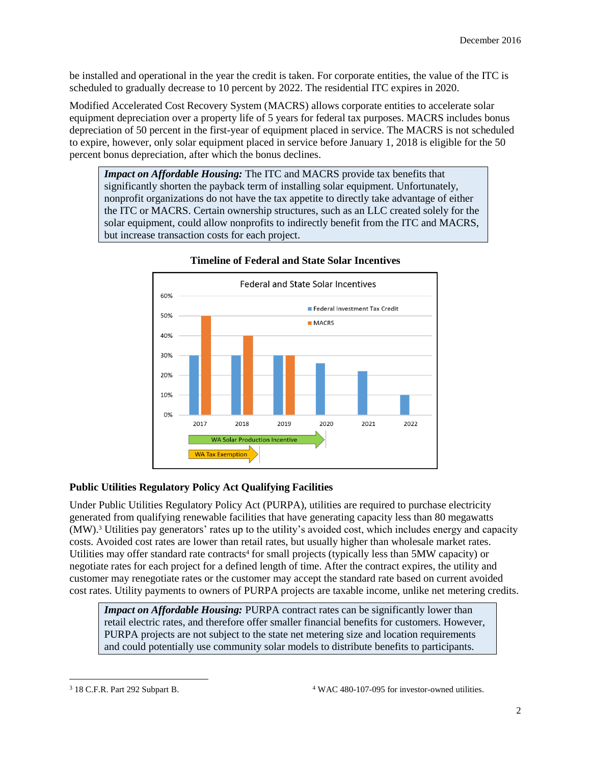be installed and operational in the year the credit is taken. For corporate entities, the value of the ITC is scheduled to gradually decrease to 10 percent by 2022. The residential ITC expires in 2020.

Modified Accelerated Cost Recovery System (MACRS) allows corporate entities to accelerate solar equipment depreciation over a property life of 5 years for federal tax purposes. MACRS includes bonus depreciation of 50 percent in the first-year of equipment placed in service. The MACRS is not scheduled to expire, however, only solar equipment placed in service before January 1, 2018 is eligible for the 50 percent bonus depreciation, after which the bonus declines.

*Impact on Affordable Housing:* The ITC and MACRS provide tax benefits that significantly shorten the payback term of installing solar equipment. Unfortunately, nonprofit organizations do not have the tax appetite to directly take advantage of either the ITC or MACRS. Certain ownership structures, such as an LLC created solely for the solar equipment, could allow nonprofits to indirectly benefit from the ITC and MACRS, but increase transaction costs for each project.



### **Timeline of Federal and State Solar Incentives**

# **Public Utilities Regulatory Policy Act Qualifying Facilities**

Under Public Utilities Regulatory Policy Act (PURPA), utilities are required to purchase electricity generated from qualifying renewable facilities that have generating capacity less than 80 megawatts (MW).<sup>3</sup> Utilities pay generators' rates up to the utility's avoided cost, which includes energy and capacity costs. Avoided cost rates are lower than retail rates, but usually higher than wholesale market rates. Utilities may offer standard rate contracts<sup>4</sup> for small projects (typically less than 5MW capacity) or negotiate rates for each project for a defined length of time. After the contract expires, the utility and customer may renegotiate rates or the customer may accept the standard rate based on current avoided cost rates. Utility payments to owners of PURPA projects are taxable income, unlike net metering credits.

*Impact on Affordable Housing: PURPA contract rates can be significantly lower than* retail electric rates, and therefore offer smaller financial benefits for customers. However, PURPA projects are not subject to the state net metering size and location requirements and could potentially use community solar models to distribute benefits to participants.

 $\overline{a}$ 

<sup>3</sup> 18 C.F.R. Part 292 Subpart B. <sup>4</sup> WAC 480-107-095 for investor-owned utilities.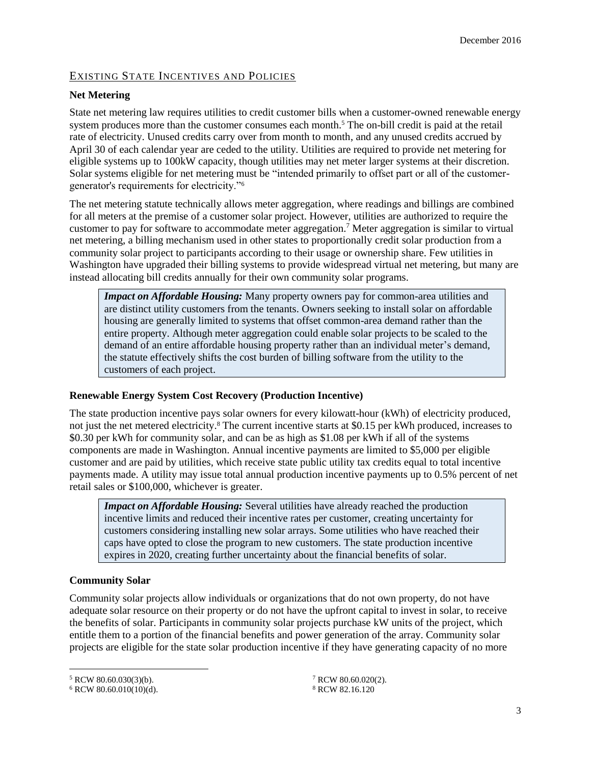# EXISTING STATE INCENTIVES AND POLICIES

### **Net Metering**

State net metering law requires utilities to credit customer bills when a customer-owned renewable energy system produces more than the customer consumes each month.<sup>5</sup> The on-bill credit is paid at the retail rate of electricity. Unused credits carry over from month to month, and any unused credits accrued by April 30 of each calendar year are ceded to the utility. Utilities are required to provide net metering for eligible systems up to 100kW capacity, though utilities may net meter larger systems at their discretion. Solar systems eligible for net metering must be "intended primarily to offset part or all of the customergenerator's requirements for electricity."<sup>6</sup>

The net metering statute technically allows meter aggregation, where readings and billings are combined for all meters at the premise of a customer solar project. However, utilities are authorized to require the customer to pay for software to accommodate meter aggregation.<sup>7</sup> Meter aggregation is similar to virtual net metering, a billing mechanism used in other states to proportionally credit solar production from a community solar project to participants according to their usage or ownership share. Few utilities in Washington have upgraded their billing systems to provide widespread virtual net metering, but many are instead allocating bill credits annually for their own community solar programs.

*Impact on Affordable Housing:* Many property owners pay for common-area utilities and are distinct utility customers from the tenants. Owners seeking to install solar on affordable housing are generally limited to systems that offset common-area demand rather than the entire property. Although meter aggregation could enable solar projects to be scaled to the demand of an entire affordable housing property rather than an individual meter's demand, the statute effectively shifts the cost burden of billing software from the utility to the customers of each project.

### **Renewable Energy System Cost Recovery (Production Incentive)**

The state production incentive pays solar owners for every kilowatt-hour (kWh) of electricity produced, not just the net metered electricity. <sup>8</sup> The current incentive starts at \$0.15 per kWh produced, increases to \$0.30 per kWh for community solar, and can be as high as \$1.08 per kWh if all of the systems components are made in Washington. Annual incentive payments are limited to \$5,000 per eligible customer and are paid by utilities, which receive state public utility tax credits equal to total incentive payments made. A utility may issue total annual production incentive payments up to 0.5% percent of net retail sales or \$100,000, whichever is greater.

**Impact on Affordable Housing:** Several utilities have already reached the production incentive limits and reduced their incentive rates per customer, creating uncertainty for customers considering installing new solar arrays. Some utilities who have reached their caps have opted to close the program to new customers. The state production incentive expires in 2020, creating further uncertainty about the financial benefits of solar.

# **Community Solar**

Community solar projects allow individuals or organizations that do not own property, do not have adequate solar resource on their property or do not have the upfront capital to invest in solar, to receive the benefits of solar. Participants in community solar projects purchase kW units of the project, which entitle them to a portion of the financial benefits and power generation of the array. Community solar projects are eligible for the state solar production incentive if they have generating capacity of no more

 $\overline{a}$ 

<sup>5</sup> RCW 80.60.030(3)(b).

 $6$  RCW 80.60.010(10)(d).

<sup>7</sup> RCW 80.60.020(2). <sup>8</sup> RCW 82.16.120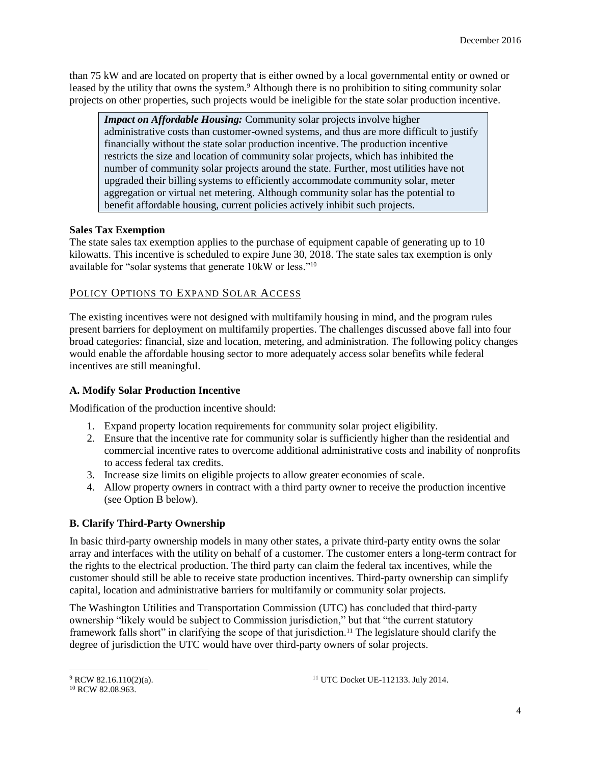than 75 kW and are located on property that is either owned by a local governmental entity or owned or leased by the utility that owns the system.<sup>9</sup> Although there is no prohibition to siting community solar projects on other properties, such projects would be ineligible for the state solar production incentive.

*Impact on Affordable Housing:* Community solar projects involve higher administrative costs than customer-owned systems, and thus are more difficult to justify financially without the state solar production incentive. The production incentive restricts the size and location of community solar projects, which has inhibited the number of community solar projects around the state. Further, most utilities have not upgraded their billing systems to efficiently accommodate community solar, meter aggregation or virtual net metering. Although community solar has the potential to benefit affordable housing, current policies actively inhibit such projects.

### **Sales Tax Exemption**

The state sales tax exemption applies to the purchase of equipment capable of generating up to 10 kilowatts. This incentive is scheduled to expire June 30, 2018. The state sales tax exemption is only available for "solar systems that generate 10kW or less." 10

### POLICY OPTIONS TO EXPAND SOLAR ACCESS

The existing incentives were not designed with multifamily housing in mind, and the program rules present barriers for deployment on multifamily properties. The challenges discussed above fall into four broad categories: financial, size and location, metering, and administration. The following policy changes would enable the affordable housing sector to more adequately access solar benefits while federal incentives are still meaningful.

### **A. Modify Solar Production Incentive**

Modification of the production incentive should:

- 1. Expand property location requirements for community solar project eligibility.
- 2. Ensure that the incentive rate for community solar is sufficiently higher than the residential and commercial incentive rates to overcome additional administrative costs and inability of nonprofits to access federal tax credits.
- 3. Increase size limits on eligible projects to allow greater economies of scale.
- 4. Allow property owners in contract with a third party owner to receive the production incentive (see Option B below).

# **B. Clarify Third-Party Ownership**

In basic third-party ownership models in many other states, a private third-party entity owns the solar array and interfaces with the utility on behalf of a customer. The customer enters a long-term contract for the rights to the electrical production. The third party can claim the federal tax incentives, while the customer should still be able to receive state production incentives. Third-party ownership can simplify capital, location and administrative barriers for multifamily or community solar projects.

The Washington Utilities and Transportation Commission (UTC) has concluded that third-party ownership "likely would be subject to Commission jurisdiction," but that "the current statutory framework falls short" in clarifying the scope of that jurisdiction.<sup>11</sup> The legislature should clarify the degree of jurisdiction the UTC would have over third-party owners of solar projects.

 $\overline{a}$ 

<sup>9</sup> RCW 82.16.110(2)(a).

<sup>&</sup>lt;sup>10</sup> RCW 82.08.963.